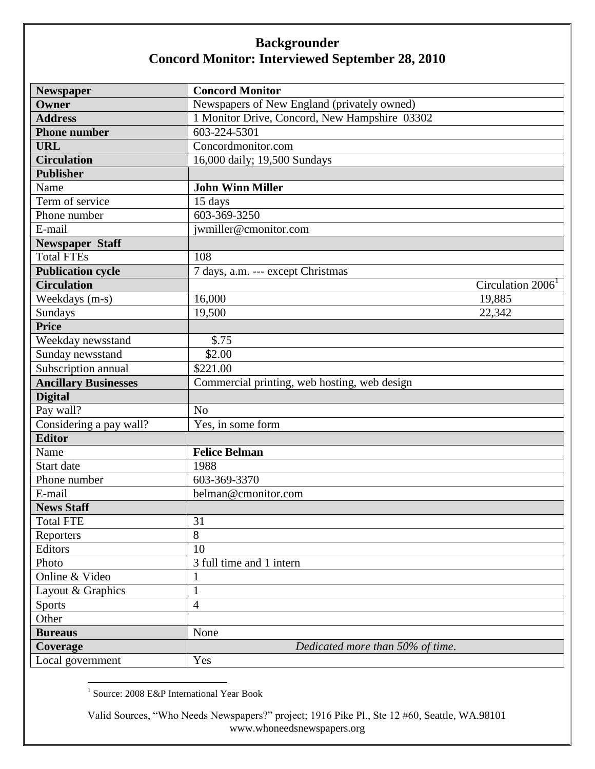## **Backgrounder Concord Monitor: Interviewed September 28, 2010**

| <b>Newspaper</b>            | <b>Concord Monitor</b>                        |
|-----------------------------|-----------------------------------------------|
| Owner                       | Newspapers of New England (privately owned)   |
| <b>Address</b>              | 1 Monitor Drive, Concord, New Hampshire 03302 |
| <b>Phone number</b>         | 603-224-5301                                  |
| <b>URL</b>                  | Concordmonitor.com                            |
| <b>Circulation</b>          | 16,000 daily; 19,500 Sundays                  |
| <b>Publisher</b>            |                                               |
| Name                        | <b>John Winn Miller</b>                       |
| Term of service             | 15 days                                       |
| Phone number                | 603-369-3250                                  |
| E-mail                      | jwmiller@cmonitor.com                         |
| <b>Newspaper Staff</b>      |                                               |
| <b>Total FTEs</b>           | 108                                           |
| <b>Publication cycle</b>    | 7 days, a.m. --- except Christmas             |
| <b>Circulation</b>          | Circulation 2006 <sup>1</sup>                 |
| Weekdays (m-s)              | 16,000<br>19,885                              |
| Sundays                     | 19,500<br>22,342                              |
| <b>Price</b>                |                                               |
| Weekday newsstand           | \$.75                                         |
| Sunday newsstand            | \$2.00                                        |
| Subscription annual         | \$221.00                                      |
| <b>Ancillary Businesses</b> | Commercial printing, web hosting, web design  |
| <b>Digital</b>              |                                               |
| Pay wall?                   | N <sub>o</sub>                                |
| Considering a pay wall?     | Yes, in some form                             |
| <b>Editor</b>               |                                               |
| Name                        | <b>Felice Belman</b>                          |
| Start date                  | 1988                                          |
| Phone number                | 603-369-3370                                  |
| E-mail                      | belman@cmonitor.com                           |
| <b>News Staff</b>           |                                               |
| <b>Total FTE</b>            | 31                                            |
| Reporters                   | 8                                             |
| Editors                     | 10                                            |
| Photo                       | 3 full time and 1 intern                      |
| Online & Video              | $\mathbf 1$                                   |
| Layout & Graphics           | $\mathbf{1}$                                  |
| Sports                      | 4                                             |
| Other                       |                                               |
| <b>Bureaus</b>              | None                                          |
| Coverage                    | Dedicated more than 50% of time.              |
| Local government            | Yes                                           |

1 Source: 2008 E&P International Year Book

Valid Sources, "Who Needs Newspapers?" project; 1916 Pike Pl., Ste 12 #60, Seattle, WA.98101 www.whoneedsnewspapers.org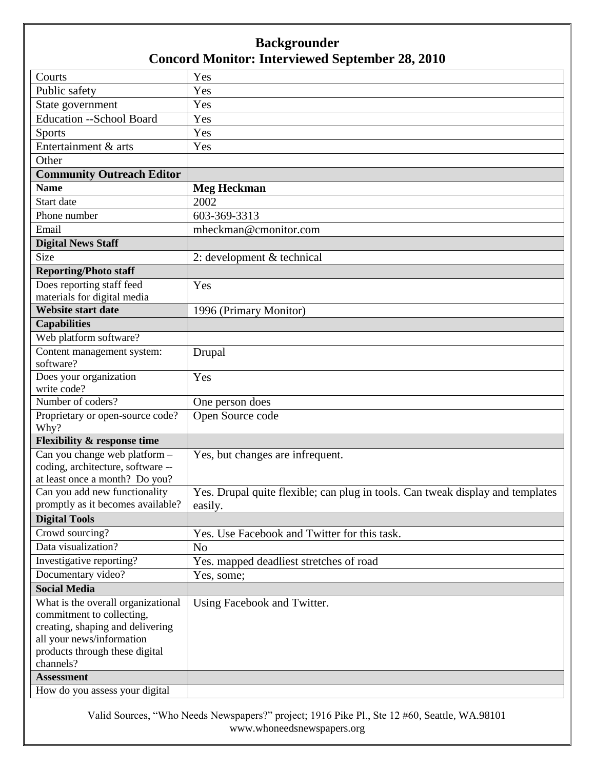## **Backgrounder Concord Monitor: Interviewed September 28, 2010**

| Courts                                   | Yes                                                                            |
|------------------------------------------|--------------------------------------------------------------------------------|
| Public safety                            | Yes                                                                            |
| State government                         | Yes                                                                            |
| Education -- School Board                | Yes                                                                            |
| <b>Sports</b>                            | Yes                                                                            |
| Entertainment & arts                     | Yes                                                                            |
| Other                                    |                                                                                |
| <b>Community Outreach Editor</b>         |                                                                                |
| <b>Name</b>                              | <b>Meg Heckman</b>                                                             |
| Start date                               | 2002                                                                           |
| Phone number                             | 603-369-3313                                                                   |
| Email                                    | mheckman@cmonitor.com                                                          |
| <b>Digital News Staff</b>                |                                                                                |
| Size                                     | 2: development & technical                                                     |
| <b>Reporting/Photo staff</b>             |                                                                                |
| Does reporting staff feed                | Yes                                                                            |
| materials for digital media              |                                                                                |
| <b>Website start date</b>                | 1996 (Primary Monitor)                                                         |
| <b>Capabilities</b>                      |                                                                                |
| Web platform software?                   |                                                                                |
| Content management system:               | Drupal                                                                         |
| software?                                |                                                                                |
| Does your organization                   | Yes                                                                            |
| write code?                              |                                                                                |
| Number of coders?                        | One person does                                                                |
| Proprietary or open-source code?<br>Why? | Open Source code                                                               |
| <b>Flexibility &amp; response time</b>   |                                                                                |
| Can you change web platform -            | Yes, but changes are infrequent.                                               |
| coding, architecture, software --        |                                                                                |
| at least once a month? Do you?           |                                                                                |
| Can you add new functionality            | Yes. Drupal quite flexible; can plug in tools. Can tweak display and templates |
| promptly as it becomes available?        | easily.                                                                        |
| <b>Digital Tools</b>                     |                                                                                |
| Crowd sourcing?                          | Yes. Use Facebook and Twitter for this task.                                   |
| Data visualization?                      | N <sub>o</sub>                                                                 |
| Investigative reporting?                 | Yes. mapped deadliest stretches of road                                        |
| Documentary video?                       | Yes, some;                                                                     |
| <b>Social Media</b>                      |                                                                                |
| What is the overall organizational       | Using Facebook and Twitter.                                                    |
| commitment to collecting,                |                                                                                |
| creating, shaping and delivering         |                                                                                |
| all your news/information                |                                                                                |
| products through these digital           |                                                                                |
| channels?                                |                                                                                |
| <b>Assessment</b>                        |                                                                                |
| How do you assess your digital           |                                                                                |

Valid Sources, "Who Needs Newspapers?" project; 1916 Pike Pl., Ste 12 #60, Seattle, WA.98101 www.whoneedsnewspapers.org